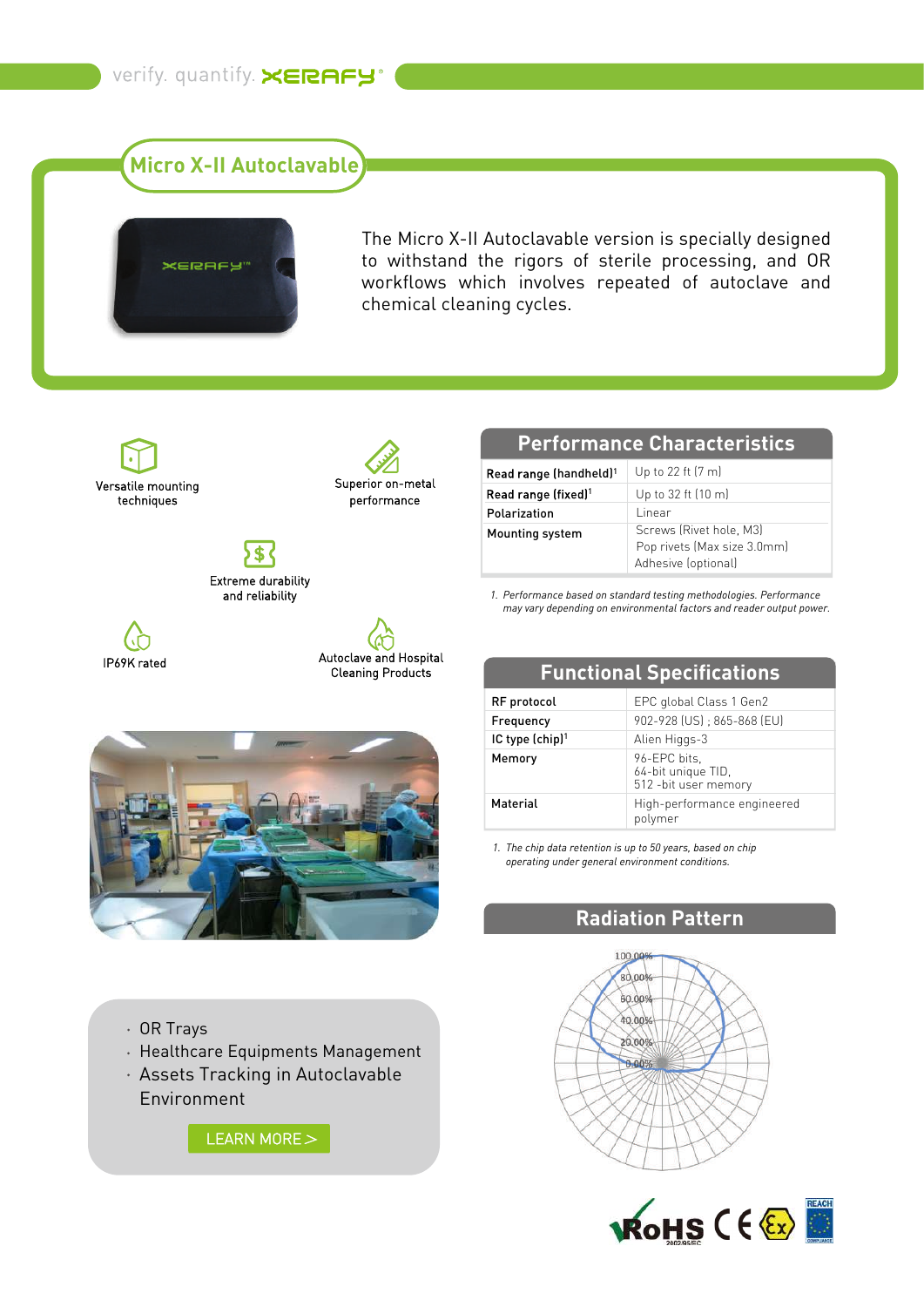**Micro X-II Autoclavable**



The Micro X-II Autoclavable version is specially designed to withstand the rigors of sterile processing, and OR workflows which involves repeated of autoclave and chemical cleaning cycles.

Versatile mounting techniques



Extreme durability and reliability

IP69K rated



### **Performance Characteristics**

| Read range (handheld) <sup>1</sup> | Up to 22 ft (7 m)                                                             |
|------------------------------------|-------------------------------------------------------------------------------|
| Read range (fixed) <sup>1</sup>    | Up to 32 ft (10 m)                                                            |
| Polarization                       | l inear                                                                       |
| Mounting system                    | Screws (Rivet hole, M3)<br>Pop rivets (Max size 3.0mm)<br>Adhesive (optional) |

*Performance based on standard testing methodologies. Performance 1. may vary depending on environmental factors and reader output power.*



# **Functional Specifications**

| RF protocol                 | EPC global Class 1 Gen2                                     |
|-----------------------------|-------------------------------------------------------------|
| Frequency                   | 902-928 (US): 865-868 (EU)                                  |
| IC type (chip) <sup>1</sup> | Alien Higgs-3                                               |
| Memory                      | 96-EPC bits,<br>64-bit unique TID,<br>512 - bit user memory |
| Material                    | High-performance engineered<br>polymer                      |

*The chip data retention is up to 50 years, based on chip 1. operating under general environment conditions.*

## **Radiation Pattern**





OR Trays

- Healthcare Equipments Management
- Assets Tracking in Autoclavable Environment

[LEARN MORE](https://www.xerafy.com/post/how-berlin-hospital-charit%C3%A9-launches-surgical-instrument-tracking-for-its-cfm) >